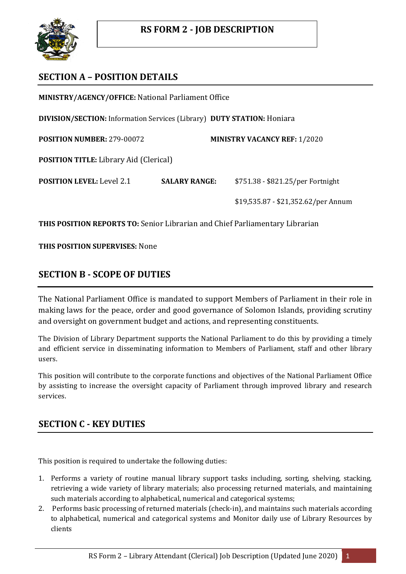

# **SECTION A – POSITION DETAILS**

**MINISTRY/AGENCY/OFFICE:** National Parliament Office

**DIVISION/SECTION:** Information Services (Library) **DUTY STATION:** Honiara

**POSITION NUMBER:** 279-00072 **MINISTRY VACANCY REF:** 1/2020

**POSITION TITLE:** Library Aid (Clerical)

**POSITION LEVEL:** Level 2.1 **SALARY RANGE:** \$751.38 - \$821.25/per Fortnight

\$19,535.87 - \$21,352.62/per Annum

**THIS POSITION REPORTS TO:** Senior Librarian and Chief Parliamentary Librarian

**THIS POSITION SUPERVISES:** None

# **SECTION B - SCOPE OF DUTIES**

The National Parliament Office is mandated to support Members of Parliament in their role in making laws for the peace, order and good governance of Solomon Islands, providing scrutiny and oversight on government budget and actions, and representing constituents.

The Division of Library Department supports the National Parliament to do this by providing a timely and efficient service in disseminating information to Members of Parliament, staff and other library users.

This position will contribute to the corporate functions and objectives of the National Parliament Office by assisting to increase the oversight capacity of Parliament through improved library and research services.

## **SECTION C - KEY DUTIES**

This position is required to undertake the following duties:

- 1. Performs a variety of routine manual library support tasks including, sorting, shelving, stacking, retrieving a wide variety of library materials; also processing returned materials, and maintaining such materials according to alphabetical, numerical and categorical systems;
- 2. Performs basic processing of returned materials (check-in), and maintains such materials according to alphabetical, numerical and categorical systems and Monitor daily use of Library Resources by clients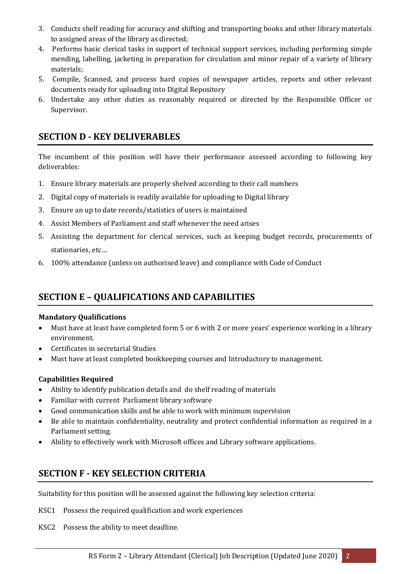- 3. Conducts shelf reading for accuracy and shifting and transporting books and other library materials to assigned areas of the library as directed;
- 4. Performs basic clerical tasks in support of technical support services, including performing simple mending, labelling, jacketing in preparation for circulation and minor repair of a variety of library materials;
- 5. Compile, Scanned, and process hard copies of newspaper articles, reports and other relevant documents ready for uploading into Digital Repository
- 6. Undertake any other duties as reasonably required or directed by the Responsible Officer or Supervisor.

## **SECTION D - KEY DELIVERABLES**

The incumbent of this position will have their performance assessed according to following key deliverables:

- 1. Ensure library materials are properly shelved according to their call numbers
- 2. Digital copy of materials is readily available for uploading to Digital library
- 3. Ensure an up to date records/statistics of users is maintained
- 4. Assist Members of Parliament and staff whenever the need arises
- 5. Assisting the department for clerical services, such as keeping budget records, procurements of stationaries, etc…
- 6. 100% attendance (unless on authorised leave) and compliance with Code of Conduct

# **SECTION E – QUALIFICATIONS AND CAPABILITIES**

#### **Mandatory Qualifications**

- Must have at least have completed form 5 or 6 with 2 or more years' experience working in a library environment.
- Certificates in secretarial Studies
- Must have at least completed bookkeeping courses and Introductory to management.

### **Capabilities Required**

- Ability to identify publication details and do shelf reading of materials
- Familiar with current Parliament library software
- Good communication skills and be able to work with minimum supervision
- Be able to maintain confidentiality, neutrality and protect confidential information as required in a Parliament setting.
- Ability to effectively work with Microsoft offices and Library software applications.

## **SECTION F - KEY SELECTION CRITERIA**

Suitability for this position will be assessed against the following key selection criteria:

- KSC1 Possess the required qualification and work experiences
- KSC2 Possess the ability to meet deadline.